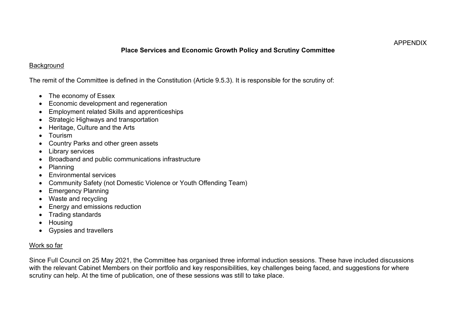## **Place Services and Economic Growth Policy and Scrutiny Committee**

## **Background**

The remit of the Committee is defined in the Constitution (Article 9.5.3). It is responsible for the scrutiny of:

- The economy of Essex
- Economic development and regeneration
- Employment related Skills and apprenticeships
- Strategic Highways and transportation
- Heritage, Culture and the Arts
- Tourism
- Country Parks and other green assets
- **Library services**
- Broadband and public communications infrastructure
- Planning
- Environmental services
- Community Safety (not Domestic Violence or Youth Offending Team)
- Emergency Planning
- Waste and recycling
- Energy and emissions reduction
- Trading standards
- Housing
- Gypsies and travellers

## Work so far

Since Full Council on 25 May 2021, the Committee has organised three informal induction sessions. These have included discussions with the relevant Cabinet Members on their portfolio and key responsibilities, key challenges being faced, and suggestions for where scrutiny can help. At the time of publication, one of these sessions was still to take place.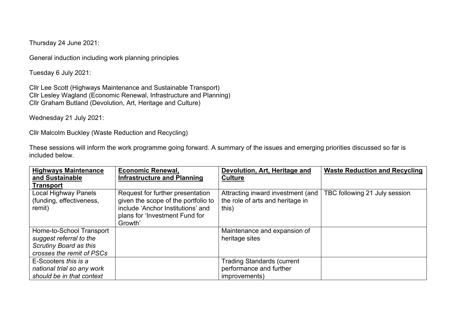Thursday 24 June 2021:

General induction including work planning principles

Tuesday 6 July 2021:

Cllr Lee Scott (Highways Maintenance and Sustainable Transport) Cllr Lesley Wagland (Economic Renewal, Infrastructure and Planning) Cllr Graham Butland (Devolution, Art, Heritage and Culture)

Wednesday 21 July 2021:

Cllr Malcolm Buckley (Waste Reduction and Recycling)

These sessions will inform the work programme going forward. A summary of the issues and emerging priorities discussed so far is included below.

| <b>Highways Maintenance</b><br>and Sustainable                                                                    | <b>Economic Renewal,</b><br><b>Infrastructure and Planning</b>                                                                                            | Devolution, Art, Heritage and<br><b>Culture</b>                                | <b>Waste Reduction and Recycling</b> |
|-------------------------------------------------------------------------------------------------------------------|-----------------------------------------------------------------------------------------------------------------------------------------------------------|--------------------------------------------------------------------------------|--------------------------------------|
| <b>Transport</b>                                                                                                  |                                                                                                                                                           |                                                                                |                                      |
| Local Highway Panels<br>(funding, effectiveness,<br>remit)                                                        | Request for further presentation<br>given the scope of the portfolio to<br>include 'Anchor Institutions' and<br>plans for 'Investment Fund for<br>Growth' | Attracting inward investment (and<br>the role of arts and heritage in<br>this) | TBC following 21 July session        |
| Home-to-School Transport<br>suggest referral to the<br><b>Scrutiny Board as this</b><br>crosses the remit of PSCs |                                                                                                                                                           | Maintenance and expansion of<br>heritage sites                                 |                                      |
| E-Scooters this is a<br>national trial so any work<br>should be in that context                                   |                                                                                                                                                           | <b>Trading Standards (current</b><br>performance and further<br>improvements)  |                                      |